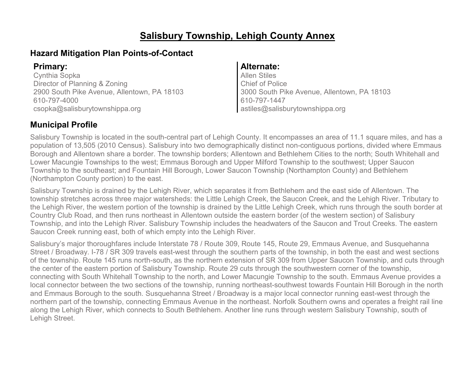### **Salisbury Township, Lehigh County Annex**

### **Hazard Mitigation Plan Points-of-Contact**

Cynthia Sopka Director of Planning & Zoning 2900 South Pike Avenue, Allentown, PA 18103 610-797-4000 csopka@salisburytownshippa.org

### **Primary: Alternate:**

Allen Stiles Chief of Police 3000 South Pike Avenue, Allentown, PA 18103 610-797-1447 astiles@salisburytownshippa.org

### **Municipal Profile**

Salisbury Township is located in the south-central part of Lehigh County. It encompasses an area of 11.1 square miles, and has a population of 13,505 (2010 Census). Salisbury into two demographically distinct non-contiguous portions, divided where Emmaus Borough and Allentown share a border. The township borders; Allentown and Bethlehem Cities to the north; South Whitehall and Lower Macungie Townships to the west; Emmaus Borough and Upper Milford Township to the southwest; Upper Saucon Township to the southeast; and Fountain Hill Borough, Lower Saucon Township (Northampton County) and Bethlehem (Northampton County portion) to the east.

Salisbury Township is drained by the Lehigh River, which separates it from Bethlehem and the east side of Allentown. The township stretches across three major watersheds: the Little Lehigh Creek, the Saucon Creek, and the Lehigh River. Tributary to the Lehigh River, the western portion of the township is drained by the Little Lehigh Creek, which runs through the south border at Country Club Road, and then runs northeast in Allentown outside the eastern border (of the western section) of Salisbury Township, and into the Lehigh River. Salisbury Township includes the headwaters of the Saucon and Trout Creeks. The eastern Saucon Creek running east, both of which empty into the Lehigh River.

Salisbury's major thoroughfares include Interstate 78 / Route 309, Route 145, Route 29, Emmaus Avenue, and Susquehanna Street / Broadway. I-78 / SR 309 travels east-west through the southern parts of the township, in both the east and west sections of the township. Route 145 runs north-south, as the northern extension of SR 309 from Upper Saucon Township, and cuts through the center of the eastern portion of Salisbury Township. Route 29 cuts through the southwestern corner of the township, connecting with South Whitehall Township to the north, and Lower Macungie Township to the south. Emmaus Avenue provides a local connector between the two sections of the township, running northeast-southwest towards Fountain Hill Borough in the north and Emmaus Borough to the south. Susquehanna Street / Broadway is a major local connector running east-west through the northern part of the township, connecting Emmaus Avenue in the northeast. Norfolk Southern owns and operates a freight rail line along the Lehigh River, which connects to South Bethlehem. Another line runs through western Salisbury Township, south of Lehigh Street.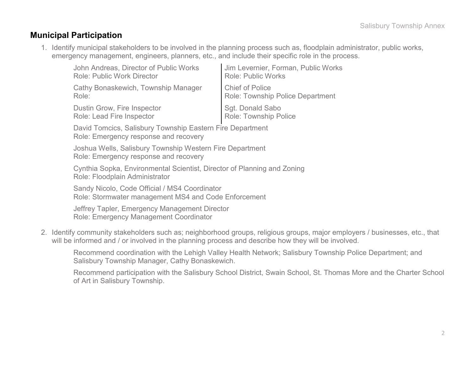### **Municipal Participation**

1. Identify municipal stakeholders to be involved in the planning process such as, floodplain administrator, public works, emergency management, engineers, planners, etc., and include their specific role in the process.

| John Andreas, Director of Public Works | Jim Levernier, Forman, Public Works     |
|----------------------------------------|-----------------------------------------|
| <b>Role: Public Work Director</b>      | <b>Role: Public Works</b>               |
| Cathy Bonaskewich, Township Manager    | Chief of Police                         |
| Role:                                  | <b>Role: Township Police Department</b> |
| Dustin Grow, Fire Inspector            | Sgt. Donald Sabo                        |
| Role: Lead Fire Inspector              | Role: Township Police                   |

David Tomcics, Salisbury Township Eastern Fire Department Role: Emergency response and recovery

Joshua Wells, Salisbury Township Western Fire Department Role: Emergency response and recovery

Cynthia Sopka, Environmental Scientist, Director of Planning and Zoning Role: Floodplain Administrator

Sandy Nicolo, Code Official / MS4 Coordinator Role: Stormwater management MS4 and Code Enforcement

Jeffrey Tapler, Emergency Management Director Role: Emergency Management Coordinator

2. Identify community stakeholders such as; neighborhood groups, religious groups, major employers / businesses, etc., that will be informed and / or involved in the planning process and describe how they will be involved.

Recommend coordination with the Lehigh Valley Health Network; Salisbury Township Police Department; and Salisbury Township Manager, Cathy Bonaskewich.

Recommend participation with the Salisbury School District, Swain School, St. Thomas More and the Charter School of Art in Salisbury Township.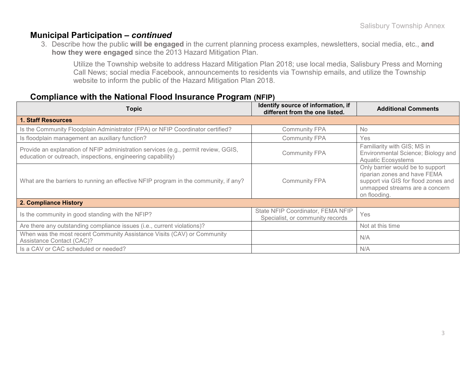### **Municipal Participation –** *continued*

3. Describe how the public **will be engaged** in the current planning process examples, newsletters, social media, etc., **and how they were engaged** since the 2013 Hazard Mitigation Plan.

Utilize the Township website to address Hazard Mitigation Plan 2018; use local media, Salisbury Press and Morning Call News; social media Facebook, announcements to residents via Township emails, and utilize the Township website to inform the public of the Hazard Mitigation Plan 2018.

#### **Compliance with the National Flood Insurance Program (NFIP)**

| Topic                                                                                                                                             | Identify source of information, if<br>different from the one listed.  | <b>Additional Comments</b>                                                                                                                                |
|---------------------------------------------------------------------------------------------------------------------------------------------------|-----------------------------------------------------------------------|-----------------------------------------------------------------------------------------------------------------------------------------------------------|
| <b>1. Staff Resources</b>                                                                                                                         |                                                                       |                                                                                                                                                           |
| Is the Community Floodplain Administrator (FPA) or NFIP Coordinator certified?                                                                    | <b>Community FPA</b>                                                  | <b>No</b>                                                                                                                                                 |
| Is floodplain management an auxiliary function?                                                                                                   | <b>Community FPA</b>                                                  | Yes                                                                                                                                                       |
| Provide an explanation of NFIP administration services (e.g., permit review, GGIS,<br>education or outreach, inspections, engineering capability) | <b>Community FPA</b>                                                  | Familiarity with GIS; MS in<br>Environmental Science; Biology and<br><b>Aquatic Ecosystems</b>                                                            |
| What are the barriers to running an effective NFIP program in the community, if any?                                                              | <b>Community FPA</b>                                                  | Only barrier would be to support<br>riparian zones and have FEMA<br>support via GIS for flood zones and<br>unmapped streams are a concern<br>on flooding. |
| 2. Compliance History                                                                                                                             |                                                                       |                                                                                                                                                           |
| Is the community in good standing with the NFIP?                                                                                                  | State NFIP Coordinator, FEMA NFIP<br>Specialist, or community records | Yes                                                                                                                                                       |
| Are there any outstanding compliance issues (i.e., current violations)?                                                                           |                                                                       | Not at this time                                                                                                                                          |
| When was the most recent Community Assistance Visits (CAV) or Community<br><b>Assistance Contact (CAC)?</b>                                       |                                                                       | N/A                                                                                                                                                       |
| Is a CAV or CAC scheduled or needed?                                                                                                              |                                                                       | N/A                                                                                                                                                       |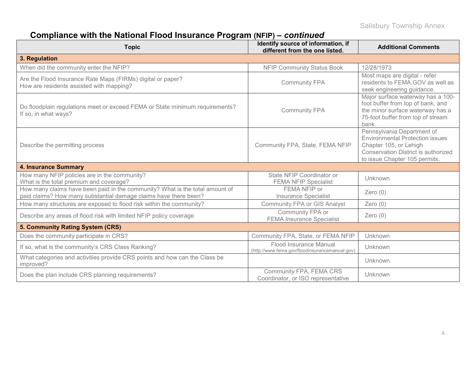# **Compliance with the National Flood Insurance Program (NFIP) –** *continued*

| <b>Topic</b>                                                                                                                                     | Identify source of information, if<br>different from the one listed.     | <b>Additional Comments</b>                                                                                                                                                    |
|--------------------------------------------------------------------------------------------------------------------------------------------------|--------------------------------------------------------------------------|-------------------------------------------------------------------------------------------------------------------------------------------------------------------------------|
| 3. Regulation                                                                                                                                    |                                                                          |                                                                                                                                                                               |
| When did the community enter the NFIP?                                                                                                           | <b>NFIP Community Status Book</b>                                        | 12/28/1973                                                                                                                                                                    |
| Are the Flood Insurance Rate Maps (FIRMs) digital or paper?<br>How are residents assisted with mapping?                                          | <b>Community FPA</b>                                                     | Most maps are digital - refer<br>residents to FEMA.GOV as well as<br>seek engineering guidance.                                                                               |
| Do floodplain regulations meet or exceed FEMA or State minimum requirements?<br>If so, in what ways?                                             | <b>Community FPA</b>                                                     | Major surface waterway has a 100-<br>foot buffer from top of bank, and<br>the minor surface waterway has a<br>75-foot buffer from top of stream<br>bank.                      |
| Describe the permitting process                                                                                                                  | Community FPA, State, FEMA NFIP                                          | Pennsylvania Department of<br><b>Environmental Protection issues</b><br>Chapter 105, or Lehigh<br><b>Conservation District is authorized</b><br>to issue Chapter 105 permits. |
| <b>4. Insurance Summary</b>                                                                                                                      |                                                                          |                                                                                                                                                                               |
| How many NFIP policies are in the community?<br>What is the total premium and coverage?                                                          | State NFIP Coordinator or<br><b>FEMA NFIP Specialist</b>                 | Unknown                                                                                                                                                                       |
| How many claims have been paid in the community? What is the total amount of<br>paid claims? How many substantial damage claims have there been? | FEMA NFIP or<br><b>Insurance Specialist</b>                              | Zero $(0)$                                                                                                                                                                    |
| How many structures are exposed to flood risk within the community?                                                                              | <b>Community FPA or GIS Analyst</b>                                      | Zero $(0)$                                                                                                                                                                    |
| Describe any areas of flood risk with limited NFIP policy coverage                                                                               | Community FPA or<br><b>FEMA Insurance Specialist</b>                     | Zero $(0)$                                                                                                                                                                    |
| 5. Community Rating System (CRS)                                                                                                                 |                                                                          |                                                                                                                                                                               |
| Does the community participate in CRS?                                                                                                           | Community FPA, State, or FEMA NFIP                                       | Unknown                                                                                                                                                                       |
| If so, what is the community's CRS Class Ranking?                                                                                                | Flood Insurance Manual<br>(http://www.fema.gov/floodinsurancemanual.gov) | Unknown                                                                                                                                                                       |
| What categories and activities provide CRS points and how can the Class be<br>improved?                                                          |                                                                          | Unknown                                                                                                                                                                       |
| Does the plan include CRS planning requirements?                                                                                                 | Community FPA, FEMA CRS<br>Coordinator, or ISO representative            | Unknown                                                                                                                                                                       |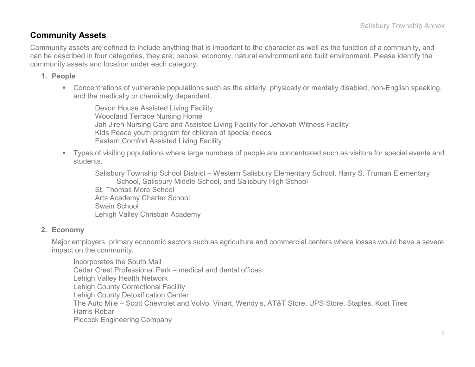### **Community Assets**

Community assets are defined to include anything that is important to the character as well as the function of a community, and can be described in four categories, they are; people, economy, natural environment and built environment. Please identify the community assets and location under each category.

#### **1. People**

 Concentrations of vulnerable populations such as the elderly, physically or mentally disabled, non-English speaking, and the medically or chemically dependent.

Devon House Assisted Living Facility Woodland Terrace Nursing Home Jah Jireh Nursing Care and Assisted Living Facility for Jehovah Witness Facility Kids Peace youth program for children of special needs Eastern Comfort Assisted Living Facility

 Types of visiting populations where large numbers of people are concentrated such as visitors for special events and students.

Salisbury Township School District – Western Salisbury Elementary School, Harry S. Truman Elementary School, Salisbury Middle School, and Salisbury High School St. Thomas More School Arts Academy Charter School Swain School Lehigh Valley Christian Academy

#### **2. Economy**

Major employers, primary economic sectors such as agriculture and commercial centers where losses would have a severe impact on the community.

Incorporates the South Mall Cedar Crest Professional Park – medical and dental offices Lehigh Valley Health Network Lehigh County Correctional Facility Lehigh County Detoxification Center The Auto Mile – Scott Chevrolet and Volvo, Vinart, Wendy's, AT&T Store, UPS Store, Staples, Kost Tires Harris Rebar Pidcock Engineering Company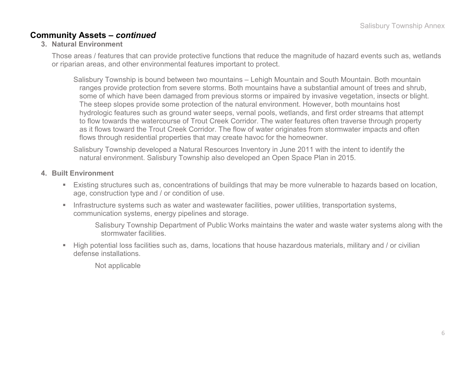### **Community Assets –** *continued*

#### **3. Natural Environment**

Those areas / features that can provide protective functions that reduce the magnitude of hazard events such as, wetlands or riparian areas, and other environmental features important to protect.

Salisbury Township is bound between two mountains – Lehigh Mountain and South Mountain. Both mountain ranges provide protection from severe storms. Both mountains have a substantial amount of trees and shrub, some of which have been damaged from previous storms or impaired by invasive vegetation, insects or blight. The steep slopes provide some protection of the natural environment. However, both mountains host hydrologic features such as ground water seeps, vernal pools, wetlands, and first order streams that attempt to flow towards the watercourse of Trout Creek Corridor. The water features often traverse through property as it flows toward the Trout Creek Corridor. The flow of water originates from stormwater impacts and often flows through residential properties that may create havoc for the homeowner.

Salisbury Township developed a Natural Resources Inventory in June 2011 with the intent to identify the natural environment. Salisbury Township also developed an Open Space Plan in 2015.

#### **4. Built Environment**

- Existing structures such as, concentrations of buildings that may be more vulnerable to hazards based on location, age, construction type and / or condition of use.
- **Infrastructure systems such as water and wastewater facilities, power utilities, transportation systems,** communication systems, energy pipelines and storage.

Salisbury Township Department of Public Works maintains the water and waste water systems along with the stormwater facilities.

 High potential loss facilities such as, dams, locations that house hazardous materials, military and / or civilian defense installations.

Not applicable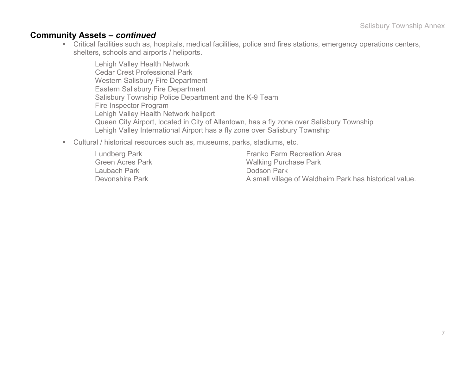#### **Community Assets –** *continued*

 Critical facilities such as, hospitals, medical facilities, police and fires stations, emergency operations centers, shelters, schools and airports / heliports.

Lehigh Valley Health Network Cedar Crest Professional Park Western Salisbury Fire Department Eastern Salisbury Fire Department Salisbury Township Police Department and the K-9 Team Fire Inspector Program Lehigh Valley Health Network heliport Queen City Airport, located in City of Allentown, has a fly zone over Salisbury Township Lehigh Valley International Airport has a fly zone over Salisbury Township

Cultural / historical resources such as, museums, parks, stadiums, etc.

Lundberg Park Franko Farm Recreation Area<br>Green Acres Park Franko Farm Recreation Area Green Acres Park New York Walking Purchase Park Laubach Park Laubach Park Dodson Park Devonshire Park **A** small village of Waldheim Park has historical value.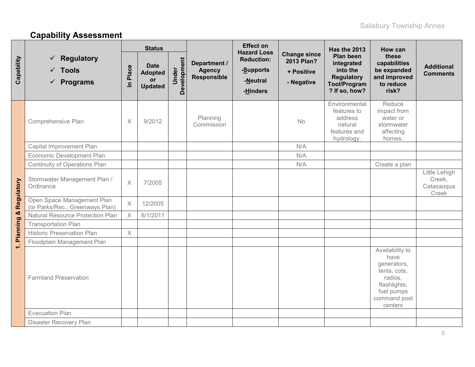# **Capability Assessment**

|             |                                                                        | <b>Status</b>         |                                                              |                      |                                                     | <b>Effect on</b><br><b>Hazard Loss</b>                 |                                                               | <b>Has the 2013</b>                                                                              | How can                                                                                                                    |                                                |
|-------------|------------------------------------------------------------------------|-----------------------|--------------------------------------------------------------|----------------------|-----------------------------------------------------|--------------------------------------------------------|---------------------------------------------------------------|--------------------------------------------------------------------------------------------------|----------------------------------------------------------------------------------------------------------------------------|------------------------------------------------|
| Capability  | $\checkmark$ Regulatory<br>$\checkmark$ Tools<br>$\checkmark$ Programs | Place<br>$\mathbf{a}$ | <b>Date</b><br><b>Adopted</b><br><b>or</b><br><b>Updated</b> | Development<br>Under | Department /<br><b>Agency</b><br><b>Responsible</b> | <b>Reduction:</b><br>-Supports<br>-Neutral<br>-Hinders | <b>Change since</b><br>2013 Plan?<br>+ Positive<br>- Negative | Plan been<br>integrated<br>into the<br><b>Regulatory</b><br><b>Tool/Program</b><br>? If so, how? | these<br>capabilities<br>be expanded<br>and improved<br>to reduce<br>risk?                                                 | <b>Additional</b><br><b>Comments</b>           |
|             | Comprehensive Plan                                                     | $\times$              | 9/2012                                                       |                      | Planning<br>Commission                              |                                                        | No                                                            | Environmental<br>features to<br>address<br>natural<br>features and<br>hydrology.                 | Reduce<br>impact from<br>water or<br>stormwater<br>affecting<br>homes.                                                     |                                                |
|             | Capital Improvement Plan                                               |                       |                                                              |                      |                                                     |                                                        | N/A                                                           |                                                                                                  |                                                                                                                            |                                                |
|             | Economic Development Plan                                              |                       |                                                              |                      |                                                     |                                                        | N/A                                                           |                                                                                                  |                                                                                                                            |                                                |
| Regulatory  | Continuity of Operations Plan                                          |                       |                                                              |                      |                                                     |                                                        | N/A                                                           |                                                                                                  | Create a plan                                                                                                              |                                                |
|             | Stormwater Management Plan /<br>Ordinance                              | $\times$              | 7/2005                                                       |                      |                                                     |                                                        |                                                               |                                                                                                  |                                                                                                                            | Little Lehigh<br>Creek,<br>Catasauqua<br>Creek |
|             | Open Space Management Plan<br>(or Parks/Rec., Greenways Plan)          | $\times$              | 12/2005                                                      |                      |                                                     |                                                        |                                                               |                                                                                                  |                                                                                                                            |                                                |
| ×           | <b>Natural Resource Protection Plan</b>                                | $\times$              | 6/1/2011                                                     |                      |                                                     |                                                        |                                                               |                                                                                                  |                                                                                                                            |                                                |
| 1. Planning | <b>Transportation Plan</b>                                             |                       |                                                              |                      |                                                     |                                                        |                                                               |                                                                                                  |                                                                                                                            |                                                |
|             | <b>Historic Preservation Plan</b>                                      | $\times$              |                                                              |                      |                                                     |                                                        |                                                               |                                                                                                  |                                                                                                                            |                                                |
|             | Floodplain Management Plan                                             |                       |                                                              |                      |                                                     |                                                        |                                                               |                                                                                                  |                                                                                                                            |                                                |
|             | <b>Farmland Preservation</b>                                           |                       |                                                              |                      |                                                     |                                                        |                                                               |                                                                                                  | Availability to<br>have<br>generators,<br>tents, cots,<br>radios,<br>flashlights,<br>fuel pumps<br>command post<br>centers |                                                |
|             | <b>Evacuation Plan</b>                                                 |                       |                                                              |                      |                                                     |                                                        |                                                               |                                                                                                  |                                                                                                                            |                                                |
|             | Disaster Recovery Plan                                                 |                       |                                                              |                      |                                                     |                                                        |                                                               |                                                                                                  |                                                                                                                            |                                                |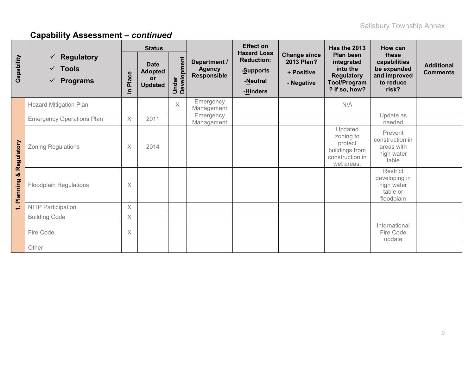|                             |                                                                        |            | <b>Status</b>                                         |                      |                                              | <b>Effect on</b>                                                             |                                                               | Has the 2013                                                                                     | How can                                                                    |                                      |
|-----------------------------|------------------------------------------------------------------------|------------|-------------------------------------------------------|----------------------|----------------------------------------------|------------------------------------------------------------------------------|---------------------------------------------------------------|--------------------------------------------------------------------------------------------------|----------------------------------------------------------------------------|--------------------------------------|
| Capability                  | $\checkmark$ Regulatory<br>$\checkmark$ Tools<br>$\checkmark$ Programs | Place<br>르 | <b>Date</b><br><b>Adopted</b><br>or<br><b>Updated</b> | Under<br>Development | Department /<br><b>Agency</b><br>Responsible | <b>Hazard Loss</b><br><b>Reduction:</b><br>-Supports<br>-Neutral<br>-Hinders | <b>Change since</b><br>2013 Plan?<br>+ Positive<br>- Negative | Plan been<br>integrated<br>into the<br><b>Regulatory</b><br><b>Tool/Program</b><br>? If so, how? | these<br>capabilities<br>be expanded<br>and improved<br>to reduce<br>risk? | <b>Additional</b><br><b>Comments</b> |
|                             | Hazard Mitigation Plan                                                 |            |                                                       | $\times$             | Emergency<br>Management                      |                                                                              |                                                               | N/A                                                                                              |                                                                            |                                      |
|                             | <b>Emergency Operations Plan</b>                                       | $\times$   | 2011                                                  |                      | Emergency<br>Management                      |                                                                              |                                                               |                                                                                                  | Update as<br>needed                                                        |                                      |
| Regulatory<br>ಯ<br>Planning | <b>Zoning Regulations</b>                                              | $\times$   | 2014                                                  |                      |                                              |                                                                              |                                                               | Updated<br>zoning to<br>protect<br>buildings from<br>construction in<br>wet areas.               | Prevent<br>construction in<br>areas with<br>high water<br>table            |                                      |
|                             | <b>Floodplain Regulations</b>                                          | $\times$   |                                                       |                      |                                              |                                                                              |                                                               |                                                                                                  | Restrict<br>developing in<br>high water<br>table or<br>floodplain          |                                      |
| $\div$                      | <b>NFIP Participation</b>                                              | X          |                                                       |                      |                                              |                                                                              |                                                               |                                                                                                  |                                                                            |                                      |
|                             | <b>Building Code</b>                                                   | $\times$   |                                                       |                      |                                              |                                                                              |                                                               |                                                                                                  |                                                                            |                                      |
|                             | Fire Code                                                              | X          |                                                       |                      |                                              |                                                                              |                                                               |                                                                                                  | International<br>Fire Code<br>update                                       |                                      |
|                             | Other                                                                  |            |                                                       |                      |                                              |                                                                              |                                                               |                                                                                                  |                                                                            |                                      |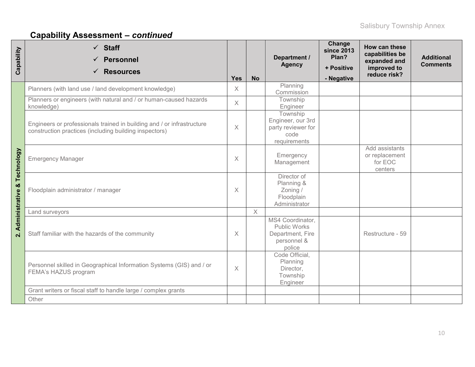| Capability              | $\checkmark$ Staff<br><b>Personnel</b><br><b>Resources</b><br>✓                                                                  | <b>Yes</b> | <b>No</b> | Department /<br><b>Agency</b>                                                        | Change<br><b>since 2013</b><br>Plan?<br>+ Positive<br>- Negative | How can these<br>capabilities be<br>expanded and<br>improved to<br>reduce risk? | <b>Additional</b><br><b>Comments</b> |
|-------------------------|----------------------------------------------------------------------------------------------------------------------------------|------------|-----------|--------------------------------------------------------------------------------------|------------------------------------------------------------------|---------------------------------------------------------------------------------|--------------------------------------|
|                         | Planners (with land use / land development knowledge)                                                                            | $\times$   |           | Planning<br>Commission                                                               |                                                                  |                                                                                 |                                      |
|                         | Planners or engineers (with natural and / or human-caused hazards<br>knowledge)                                                  | $\times$   |           | Township<br>Engineer                                                                 |                                                                  |                                                                                 |                                      |
|                         | Engineers or professionals trained in building and / or infrastructure<br>construction practices (including building inspectors) | X          |           | Township<br>Engineer, our 3rd<br>party reviewer for<br>code<br>requirements          |                                                                  |                                                                                 |                                      |
| Technology              | <b>Emergency Manager</b>                                                                                                         | X          |           | Emergency<br>Management                                                              |                                                                  | Add assistants<br>or replacement<br>for EOC<br>centers                          |                                      |
| ×<br>Administrative     | Floodplain administrator / manager                                                                                               | $\times$   |           | Director of<br>Planning &<br>Zoning /<br>Floodplain<br>Administrator                 |                                                                  |                                                                                 |                                      |
|                         | Land surveyors                                                                                                                   |            | $\times$  |                                                                                      |                                                                  |                                                                                 |                                      |
| $\overline{\mathbf{a}}$ | Staff familiar with the hazards of the community                                                                                 | $\times$   |           | MS4 Coordinator,<br><b>Public Works</b><br>Department, Fire<br>personnel &<br>police |                                                                  | Restructure - 59                                                                |                                      |
|                         | Personnel skilled in Geographical Information Systems (GIS) and / or<br>FEMA's HAZUS program                                     | $\times$   |           | Code Official,<br>Planning<br>Director,<br>Township<br>Engineer                      |                                                                  |                                                                                 |                                      |
|                         | Grant writers or fiscal staff to handle large / complex grants                                                                   |            |           |                                                                                      |                                                                  |                                                                                 |                                      |
|                         | Other                                                                                                                            |            |           |                                                                                      |                                                                  |                                                                                 |                                      |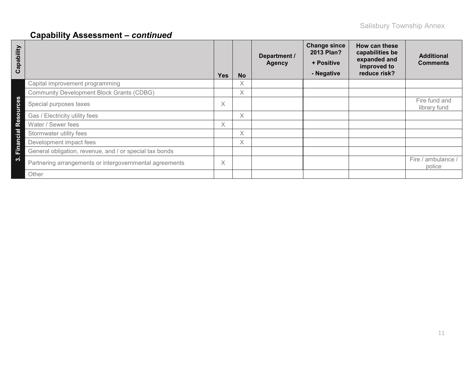| Capability                       |                                                         | <b>Yes</b> | <b>No</b> | Department /<br><b>Agency</b> | <b>Change since</b><br>2013 Plan?<br>+ Positive<br>- Negative | How can these<br>capabilities be<br>expanded and<br>improved to<br>reduce risk? | <b>Additional</b><br><b>Comments</b> |
|----------------------------------|---------------------------------------------------------|------------|-----------|-------------------------------|---------------------------------------------------------------|---------------------------------------------------------------------------------|--------------------------------------|
|                                  | Capital improvement programming                         |            | X         |                               |                                                               |                                                                                 |                                      |
|                                  | <b>Community Development Block Grants (CDBG)</b>        |            | $\times$  |                               |                                                               |                                                                                 |                                      |
| $\mathbf{\Omega}$<br>ğ           | Special purposes taxes                                  | X          |           |                               |                                                               |                                                                                 | Fire fund and<br>library fund        |
| $\circ$<br>$\boldsymbol{\omega}$ | Gas / Electricity utility fees                          |            | $\times$  |                               |                                                               |                                                                                 |                                      |
| <u>ତି</u>                        | Water / Sewer fees                                      | $\times$   |           |                               |                                                               |                                                                                 |                                      |
| cial                             | Stormwater utility fees                                 |            | $\times$  |                               |                                                               |                                                                                 |                                      |
| ă                                | Development impact fees                                 |            | Χ         |                               |                                                               |                                                                                 |                                      |
| Êir                              | General obligation, revenue, and / or special tax bonds |            |           |                               |                                                               |                                                                                 |                                      |
| ო                                | Partnering arrangements or intergovernmental agreements | X          |           |                               |                                                               |                                                                                 | ambulance<br>Fire /<br>police        |
|                                  | Other                                                   |            |           |                               |                                                               |                                                                                 |                                      |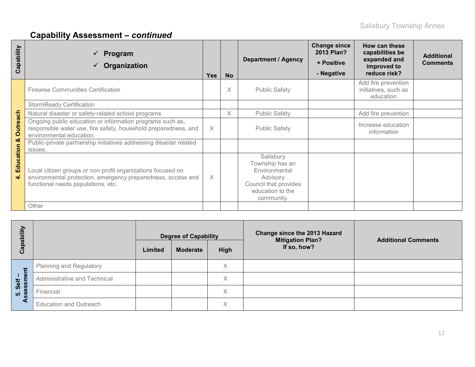| Capability             | Program<br>$\checkmark$<br>Organization                                                                                                                           | <b>Yes</b> | <b>No</b> | <b>Department / Agency</b>                                                                                           | <b>Change since</b><br>2013 Plan?<br>+ Positive<br>- Negative | How can these<br>capabilities be<br>expanded and<br>improved to<br>reduce risk? | <b>Additional</b><br><b>Comments</b> |
|------------------------|-------------------------------------------------------------------------------------------------------------------------------------------------------------------|------------|-----------|----------------------------------------------------------------------------------------------------------------------|---------------------------------------------------------------|---------------------------------------------------------------------------------|--------------------------------------|
|                        | <b>Firewise Communities Certification</b>                                                                                                                         |            | X         | <b>Public Safety</b>                                                                                                 |                                                               | Add fire prevention<br>initiatives, such as<br>education                        |                                      |
|                        | <b>StormReady Certification</b>                                                                                                                                   |            |           |                                                                                                                      |                                                               |                                                                                 |                                      |
|                        | Natural disaster or safety-related school programs                                                                                                                |            | $\times$  | <b>Public Safety</b>                                                                                                 |                                                               | Add fire prevention                                                             |                                      |
| <b>Outreach</b>        | Ongoing public education or information programs such as,<br>responsible water use, fire safety, household preparedness, and<br>environmental education.          | $\times$   |           | <b>Public Safety</b>                                                                                                 |                                                               | Increase education<br>information                                               |                                      |
| ఱ                      | Public-private partnership initiatives addressing disaster related<br>issues.                                                                                     |            |           |                                                                                                                      |                                                               |                                                                                 |                                      |
| Education<br>$\vec{r}$ | Local citizen groups or non-profit organizations focused on<br>environmental protection, emergency preparedness, access and<br>functional needs populations, etc. |            |           | Salisbury<br>Township has an<br>Environmental<br>Advisory<br>Council that provides<br>education to the<br>community. |                                                               |                                                                                 |                                      |
|                        | Other                                                                                                                                                             |            |           |                                                                                                                      |                                                               |                                                                                 |                                      |

| ξÎ<br>Capabil   |                                | Limited | <b>Degree of Capability</b><br><b>Moderate</b> | High     | Change since the 2013 Hazard<br><b>Mitigation Plan?</b><br>If so, how? | <b>Additional Comments</b> |
|-----------------|--------------------------------|---------|------------------------------------------------|----------|------------------------------------------------------------------------|----------------------------|
|                 | <b>Planning and Regulatory</b> |         |                                                | X        |                                                                        |                            |
| essment<br>Self | Administrative and Technical   |         |                                                | $\times$ |                                                                        |                            |
| ູ່ທ່            | Financial                      |         |                                                | X        |                                                                        |                            |
|                 | <b>Education and Outreach</b>  |         |                                                | X        |                                                                        |                            |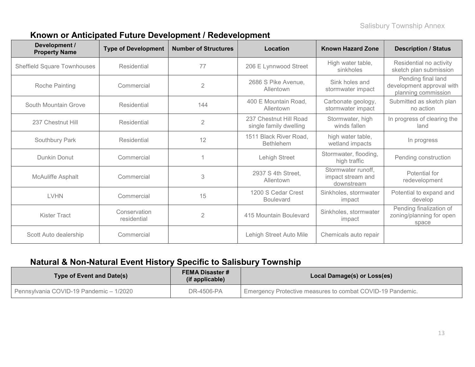### **Known or Anticipated Future Development / Redevelopment**

| Development /<br><b>Property Name</b> | <b>Type of Development</b>                                                        | <b>Number of Structures</b> | Location                               | <b>Known Hazard Zone</b>                                               | <b>Description / Status</b>                                  |
|---------------------------------------|-----------------------------------------------------------------------------------|-----------------------------|----------------------------------------|------------------------------------------------------------------------|--------------------------------------------------------------|
| <b>Sheffield Square Townhouses</b>    | Residential                                                                       | 77                          | 206 E Lynnwood Street                  | High water table,<br>sinkholes                                         | Residential no activity<br>sketch plan submission            |
| Roche Painting                        | 2686 S Pike Avenue,<br>$\overline{2}$<br>Commercial<br>Allentown                  |                             | Sink holes and<br>stormwater impact    | Pending final land<br>development approval with<br>planning commission |                                                              |
| South Mountain Grove                  | Residential                                                                       | 144                         | 400 E Mountain Road,<br>Allentown      | Carbonate geology,<br>stormwater impact                                | Submitted as sketch plan<br>no action                        |
| 237 Chestnut Hill                     | 237 Chestnut Hill Road<br>$\overline{2}$<br>Residential<br>single family dwelling |                             | Stormwater, high<br>winds fallen       | In progress of clearing the<br>land                                    |                                                              |
| Southbury Park                        | 12<br>Residential<br><b>Bethlehem</b>                                             |                             | 1511 Black River Road,                 | high water table,<br>wetland impacts                                   | In progress                                                  |
| Dunkin Donut                          | Commercial                                                                        |                             | Lehigh Street                          | Stormwater, flooding,<br>high traffic                                  | Pending construction                                         |
| <b>McAuliffe Asphalt</b>              | Commercial                                                                        | 3                           | 2937 S 4th Street,<br>Allentown        | Stormwater runoff.<br>impact stream and<br>downstream                  | Potential for<br>redevelopment                               |
| <b>LVHN</b>                           | Commercial                                                                        | 15                          | 1200 S Cedar Crest<br><b>Boulevard</b> | Sinkholes, stormwater<br>impact                                        | Potential to expand and<br>develop                           |
| Kister Tract                          | Conservation<br>residential                                                       | $\overline{2}$              | 415 Mountain Boulevard                 | Sinkholes, stormwater<br>impact                                        | Pending finalization of<br>zoning/planning for open<br>space |
| Scott Auto dealership                 | Commercial                                                                        |                             | Lehigh Street Auto Mile                | Chemicals auto repair                                                  |                                                              |

### **Natural & Non-Natural Event History Specific to Salisbury Township**

| Type of Event and Date(s)               | <b>FEMA Disaster #</b><br>(if applicable) | Local Damage(s) or Loss(es)                                |
|-----------------------------------------|-------------------------------------------|------------------------------------------------------------|
| Pennsylvania COVID-19 Pandemic - 1/2020 | DR-4506-PA                                | Emergency Protective measures to combat COVID-19 Pandemic. |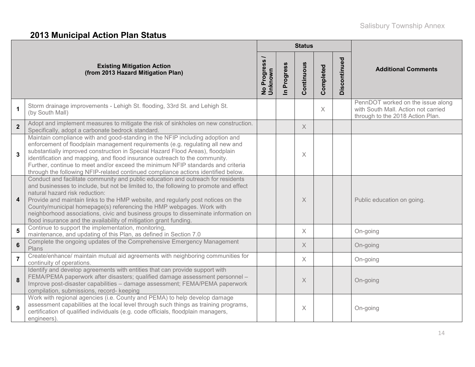# **2013 Municipal Action Plan Status**

|                         |                                                                                                                                                                                                                                                                                                                                                                                                                                                                                                                                    |                          |                            | <b>Status</b> |           |              |                                                                                                              |
|-------------------------|------------------------------------------------------------------------------------------------------------------------------------------------------------------------------------------------------------------------------------------------------------------------------------------------------------------------------------------------------------------------------------------------------------------------------------------------------------------------------------------------------------------------------------|--------------------------|----------------------------|---------------|-----------|--------------|--------------------------------------------------------------------------------------------------------------|
|                         | <b>Existing Mitigation Action</b><br>(from 2013 Hazard Mitigation Plan)                                                                                                                                                                                                                                                                                                                                                                                                                                                            | No Progress /<br>Unknown | Progress<br>$\overline{=}$ | Continuous    | Completed | Discontinued | <b>Additional Comments</b>                                                                                   |
| $\mathbf 1$             | Storm drainage improvements - Lehigh St. flooding, 33rd St. and Lehigh St.<br>(by South Mall)                                                                                                                                                                                                                                                                                                                                                                                                                                      |                          |                            |               | $\times$  |              | PennDOT worked on the issue along<br>with South Mall. Action not carried<br>through to the 2018 Action Plan. |
| $\overline{2}$          | Adopt and implement measures to mitigate the risk of sinkholes on new construction.<br>Specifically, adopt a carbonate bedrock standard.                                                                                                                                                                                                                                                                                                                                                                                           |                          |                            | $\times$      |           |              |                                                                                                              |
| $\mathbf{3}$            | Maintain compliance with and good-standing in the NFIP including adoption and<br>enforcement of floodplain management requirements (e.g. regulating all new and<br>substantially improved construction in Special Hazard Flood Areas), floodplain<br>identification and mapping, and flood insurance outreach to the community.<br>Further, continue to meet and/or exceed the minimum NFIP standards and criteria<br>through the following NFIP-related continued compliance actions identified below.                            |                          |                            | X             |           |              |                                                                                                              |
| $\overline{\mathbf{4}}$ | Conduct and facilitate community and public education and outreach for residents<br>and businesses to include, but not be limited to, the following to promote and effect<br>natural hazard risk reduction:<br>Provide and maintain links to the HMP website, and regularly post notices on the<br>County/municipal homepage(s) referencing the HMP webpages. Work with<br>neighborhood associations, civic and business groups to disseminate information on<br>flood insurance and the availability of mitigation grant funding. |                          |                            | X             |           |              | Public education on going.                                                                                   |
| 5                       | Continue to support the implementation, monitoring,<br>maintenance, and updating of this Plan, as defined in Section 7.0                                                                                                                                                                                                                                                                                                                                                                                                           |                          |                            | $\times$      |           |              | On-going                                                                                                     |
| $6\phantom{1}6$         | Complete the ongoing updates of the Comprehensive Emergency Management<br>Plans                                                                                                                                                                                                                                                                                                                                                                                                                                                    |                          |                            | $\times$      |           |              | On-going                                                                                                     |
| $\overline{7}$          | Create/enhance/ maintain mutual aid agreements with neighboring communities for<br>continuity of operations.                                                                                                                                                                                                                                                                                                                                                                                                                       |                          |                            | $\times$      |           |              | On-going                                                                                                     |
| 8                       | Identify and develop agreements with entities that can provide support with<br>FEMA/PEMA paperwork after disasters; qualified damage assessment personnel -<br>Improve post-disaster capabilities - damage assessment; FEMA/PEMA paperwork<br>compilation, submissions, record- keeping                                                                                                                                                                                                                                            |                          |                            | $\times$      |           |              | On-going                                                                                                     |
| 9                       | Work with regional agencies (i.e. County and PEMA) to help develop damage<br>assessment capabilities at the local level through such things as training programs,<br>certification of qualified individuals (e.g. code officials, floodplain managers,<br>engineers)                                                                                                                                                                                                                                                               |                          |                            | $\times$      |           |              | On-going                                                                                                     |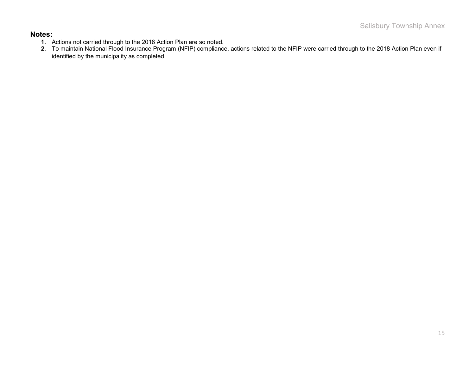#### **Notes:**

- **1.** Actions not carried through to the 2018 Action Plan are so noted.
- **2.** To maintain National Flood Insurance Program (NFIP) compliance, actions related to the NFIP were carried through to the 2018 Action Plan even if identified by the municipality as completed.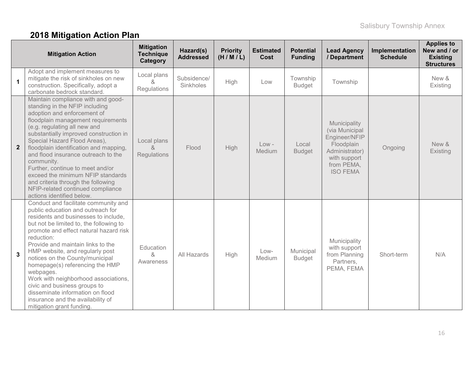# **2018 Mitigation Action Plan**

| <b>Mitigation Action</b> |                                                                                                                                                                                                                                                                                                                                                                                                                                                                                                                                                               | <b>Mitigation</b><br><b>Technique</b><br>Category | Hazard(s)<br><b>Addressed</b> | <b>Priority</b><br>(H/M/L) | <b>Estimated</b><br>Cost | <b>Potential</b><br><b>Funding</b> | <b>Lead Agency</b><br>/ Department                                                                                               | Implementation<br><b>Schedule</b> | <b>Applies to</b><br>New and / or<br><b>Existing</b><br><b>Structures</b> |
|--------------------------|---------------------------------------------------------------------------------------------------------------------------------------------------------------------------------------------------------------------------------------------------------------------------------------------------------------------------------------------------------------------------------------------------------------------------------------------------------------------------------------------------------------------------------------------------------------|---------------------------------------------------|-------------------------------|----------------------------|--------------------------|------------------------------------|----------------------------------------------------------------------------------------------------------------------------------|-----------------------------------|---------------------------------------------------------------------------|
| $\mathbf{1}$             | Adopt and implement measures to<br>mitigate the risk of sinkholes on new<br>construction. Specifically, adopt a<br>carbonate bedrock standard.                                                                                                                                                                                                                                                                                                                                                                                                                | Local plans<br>Regulations                        | Subsidence/<br>Sinkholes      | High                       | Low                      | Township<br><b>Budget</b>          | Township                                                                                                                         |                                   | New &<br>Existing                                                         |
| $\mathbf{2}$             | Maintain compliance with and good-<br>standing in the NFIP including<br>adoption and enforcement of<br>floodplain management requirements<br>(e.g. regulating all new and<br>substantially improved construction in<br>Special Hazard Flood Areas),<br>floodplain identification and mapping,<br>and flood insurance outreach to the<br>community.<br>Further, continue to meet and/or<br>exceed the minimum NFIP standards<br>and criteria through the following<br>NFIP-related continued compliance<br>actions identified below.                           | Local plans<br>$\alpha$<br>Regulations            | Flood                         | <b>High</b>                | $Low -$<br>Medium        | Local<br><b>Budget</b>             | Municipality<br>(via Municipal<br>Engineer/NFIP<br>Floodplain<br>Administrator)<br>with support<br>from PEMA,<br><b>ISO FEMA</b> | Ongoing                           | New &<br>Existing                                                         |
| $\mathbf{3}$             | Conduct and facilitate community and<br>public education and outreach for<br>residents and businesses to include,<br>but not be limited to, the following to<br>promote and effect natural hazard risk<br>reduction:<br>Provide and maintain links to the<br>HMP website, and regularly post<br>notices on the County/municipal<br>homepage(s) referencing the HMP<br>webpages.<br>Work with neighborhood associations,<br>civic and business groups to<br>disseminate information on flood<br>insurance and the availability of<br>mitigation grant funding. | Education<br>$\&$<br>Awareness                    | All Hazards                   | High                       | Low-<br>Medium           | Municipal<br><b>Budget</b>         | Municipality<br>with support<br>from Planning<br>Partners,<br>PEMA, FEMA                                                         | Short-term                        | N/A                                                                       |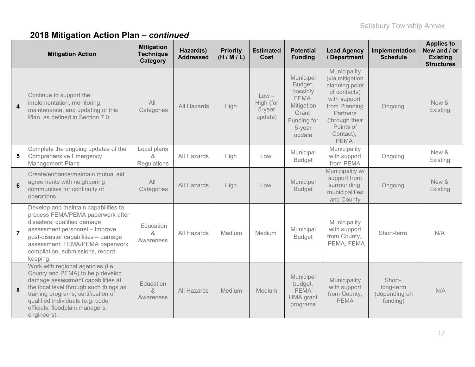# **2018 Mitigation Action Plan –** *continued*

| <b>Mitigation Action</b> |                                                                                                                                                                                                                                                                                  | <b>Mitigation</b><br><b>Technique</b><br>Category | Hazard(s)<br><b>Addressed</b> | <b>Priority</b><br>(H/M/L) | <b>Estimated</b><br>Cost                  | <b>Potential</b><br><b>Funding</b>                                                                        | <b>Lead Agency</b><br>/ Department                                                                                                                                        | Implementation<br><b>Schedule</b>                 | <b>Applies to</b><br>New and / or<br><b>Existing</b><br><b>Structures</b> |
|--------------------------|----------------------------------------------------------------------------------------------------------------------------------------------------------------------------------------------------------------------------------------------------------------------------------|---------------------------------------------------|-------------------------------|----------------------------|-------------------------------------------|-----------------------------------------------------------------------------------------------------------|---------------------------------------------------------------------------------------------------------------------------------------------------------------------------|---------------------------------------------------|---------------------------------------------------------------------------|
| $\boldsymbol{4}$         | Continue to support the<br>implementation, monitoring,<br>maintenance, and updating of this<br>Plan, as defined in Section 7.0                                                                                                                                                   | All<br>Categories                                 | All Hazards                   | <b>High</b>                | $Low -$<br>High (for<br>5-year<br>update) | Municipal<br>Budget,<br>possibly<br><b>FEMA</b><br>Mitigation<br>Grant<br>Funding for<br>5-year<br>update | Municipality<br>(via mitigation<br>planning point<br>of contacts)<br>with support<br>from Planning<br>Partners<br>(through their<br>Points of<br>Contact),<br><b>PEMA</b> | Ongoing                                           | New &<br>Existing                                                         |
| 5                        | Complete the ongoing updates of the<br><b>Comprehensive Emergency</b><br><b>Management Plans</b>                                                                                                                                                                                 | Local plans<br>&<br>Regulations                   | All Hazards                   | High                       | Low                                       | Municipal<br><b>Budget</b>                                                                                | Municipality<br>with support<br>from PEMA                                                                                                                                 | Ongoing                                           | New &<br>Existing                                                         |
| $6\phantom{1}$           | Create/enhance/maintain mutual aid<br>agreements with neighboring<br>communities for continuity of<br>operations.                                                                                                                                                                | All<br>Categories                                 | All Hazards                   | High                       | Low                                       | Municipal<br><b>Budget</b>                                                                                | Municipality w/<br>support from<br>surrounding<br>municipalities<br>and County                                                                                            | Ongoing                                           | New &<br>Existing                                                         |
| $\overline{7}$           | Develop and maintain capabilities to<br>process FEMA/PEMA paperwork after<br>disasters; qualified damage<br>assessment personnel - Improve<br>post-disaster capabilities - damage<br>assessment; FEMA/PEMA paperwork<br>compilation, submissions, record<br>keeping.             | Education<br>&<br>Awareness                       | All Hazards                   | Medium                     | Medium                                    | Municipal<br><b>Budget</b>                                                                                | Municipality<br>with support<br>from County,<br>PEMA, FEMA                                                                                                                | Short-term                                        | N/A                                                                       |
| 8                        | Work with regional agencies (i.e.<br>County and PEMA) to help develop<br>damage assessment capabilities at<br>the local level through such things as<br>training programs, certification of<br>qualified individuals (e.g. code<br>officials, floodplain managers,<br>engineers) | Education<br>&<br>Awareness                       | All Hazards                   | Medium                     | <b>Medium</b>                             | Municipal<br>budget,<br><b>FEMA</b><br><b>HMA</b> grant<br>programs                                       | Municipality<br>with support<br>from County,<br><b>PEMA</b>                                                                                                               | Short-,<br>long-term<br>(depending on<br>funding) | N/A                                                                       |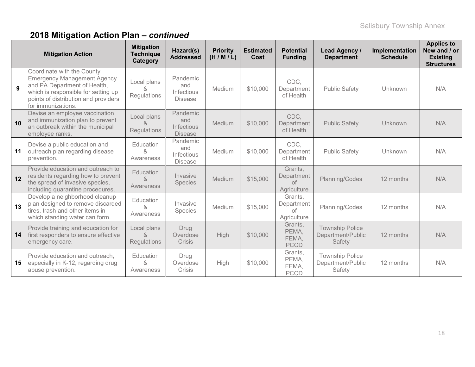# **2018 Mitigation Action Plan –** *continued*

| <b>Mitigation Action</b> |                                                                                                                                                                                                       | <b>Mitigation</b><br><b>Technique</b><br>Category | Hazard(s)<br><b>Addressed</b>                          | <b>Priority</b><br>(H/M/L) | <b>Estimated</b><br>Cost | <b>Potential</b><br><b>Funding</b>                | <b>Lead Agency /</b><br><b>Department</b>             | Implementation<br><b>Schedule</b> | <b>Applies to</b><br>New and / or<br><b>Existing</b><br><b>Structures</b> |
|--------------------------|-------------------------------------------------------------------------------------------------------------------------------------------------------------------------------------------------------|---------------------------------------------------|--------------------------------------------------------|----------------------------|--------------------------|---------------------------------------------------|-------------------------------------------------------|-----------------------------------|---------------------------------------------------------------------------|
| 9                        | Coordinate with the County<br><b>Emergency Management Agency</b><br>and PA Department of Health,<br>which is responsible for setting up<br>points of distribution and providers<br>for immunizations. | Local plans<br>Regulations                        | Pandemic<br>and<br><b>Infectious</b><br><b>Disease</b> | Medium                     | \$10,000                 | CDC.<br>Department<br>of Health                   | <b>Public Safety</b>                                  | Unknown                           | N/A                                                                       |
| 10                       | Devise an employee vaccination<br>and immunization plan to prevent<br>an outbreak within the municipal<br>employee ranks.                                                                             | Local plans<br>&<br><b>Regulations</b>            | Pandemic<br>and<br><b>Infectious</b><br><b>Disease</b> | Medium                     | \$10,000                 | CDC,<br>Department<br>of Health                   | <b>Public Safety</b>                                  | Unknown                           | N/A                                                                       |
| 11                       | Devise a public education and<br>outreach plan regarding disease<br>prevention.                                                                                                                       | Education<br>&<br>Awareness                       | Pandemic<br>and<br>Infectious<br><b>Disease</b>        | Medium                     | \$10,000                 | CDC,<br>Department<br>of Health                   | <b>Public Safety</b>                                  | Unknown                           | N/A                                                                       |
| 12                       | Provide education and outreach to<br>residents regarding how to prevent<br>the spread of invasive species,<br>including quarantine procedures.                                                        | Education<br>$\alpha$<br>Awareness                | Invasive<br>Species                                    | Medium                     | \$15,000                 | Grants,<br>Department<br>$\circ$ f<br>Agriculture | Planning/Codes                                        | 12 months                         | N/A                                                                       |
| 13                       | Develop a neighborhood cleanup<br>plan designed to remove discarded<br>tires, trash and other items in<br>which standing water can form.                                                              | Education<br>$\alpha$<br>Awareness                | Invasive<br><b>Species</b>                             | Medium                     | \$15,000                 | Grants,<br>Department<br>of<br>Agriculture        | Planning/Codes                                        | 12 months                         | N/A                                                                       |
| 14                       | Provide training and education for<br>first responders to ensure effective<br>emergency care.                                                                                                         | Local plans<br>$\alpha$<br><b>Regulations</b>     | Drug<br>Overdose<br>Crisis                             | High                       | \$10,000                 | Grants,<br>PEMA,<br>FEMA,<br><b>PCCD</b>          | <b>Township Police</b><br>Department/Public<br>Safety | 12 months                         | N/A                                                                       |
| 15                       | Provide education and outreach,<br>especially in K-12, regarding drug<br>abuse prevention.                                                                                                            | Education<br>&<br>Awareness                       | Drug<br>Overdose<br>Crisis                             | High                       | \$10,000                 | Grants,<br>PEMA,<br>FEMA,<br><b>PCCD</b>          | <b>Township Police</b><br>Department/Public<br>Safety | 12 months                         | N/A                                                                       |